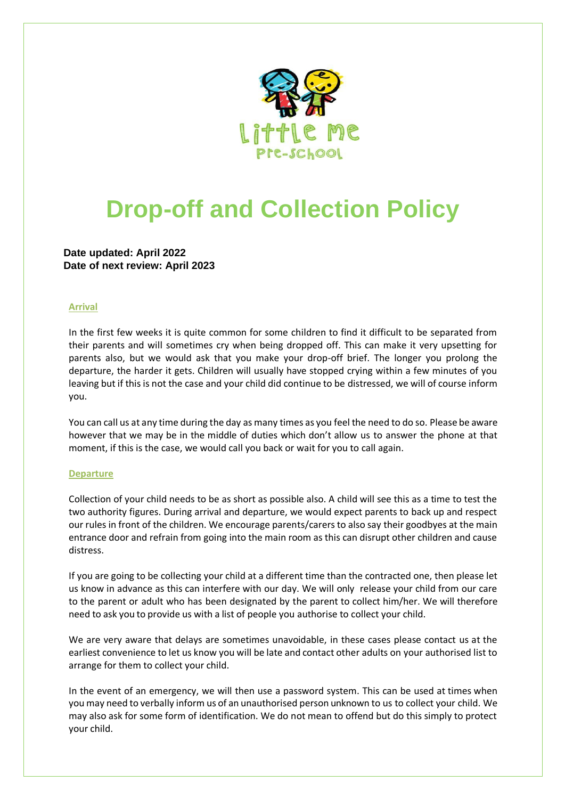

## **Drop-off and Collection Policy**

**Date updated: April 2022 Date of next review: April 2023**

## **Arrival**

In the first few weeks it is quite common for some children to find it difficult to be separated from their parents and will sometimes cry when being dropped off. This can make it very upsetting for parents also, but we would ask that you make your drop-off brief. The longer you prolong the departure, the harder it gets. Children will usually have stopped crying within a few minutes of you leaving but if this is not the case and your child did continue to be distressed, we will of course inform you.

You can call us at any time during the day as many times as you feel the need to do so. Please be aware however that we may be in the middle of duties which don't allow us to answer the phone at that moment, if this is the case, we would call you back or wait for you to call again.

## **Departure**

Collection of your child needs to be as short as possible also. A child will see this as a time to test the two authority figures. During arrival and departure, we would expect parents to back up and respect our rules in front of the children. We encourage parents/carers to also say their goodbyes at the main entrance door and refrain from going into the main room as this can disrupt other children and cause distress.

If you are going to be collecting your child at a different time than the contracted one, then please let us know in advance as this can interfere with our day. We will only release your child from our care to the parent or adult who has been designated by the parent to collect him/her. We will therefore need to ask you to provide us with a list of people you authorise to collect your child.

We are very aware that delays are sometimes unavoidable, in these cases please contact us at the earliest convenience to let us know you will be late and contact other adults on your authorised list to arrange for them to collect your child.

In the event of an emergency, we will then use a password system. This can be used at times when you may need to verbally inform us of an unauthorised person unknown to us to collect your child. We may also ask for some form of identification. We do not mean to offend but do this simply to protect your child.